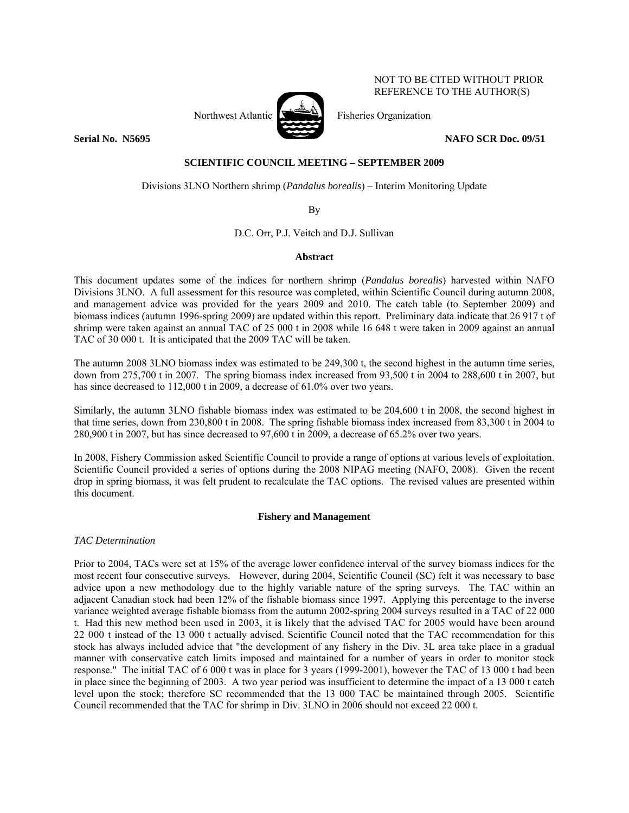Northwest Atlantic  $\sum_{n=1}^{\infty}$  Fisheries Organization

**Serial No. N5695** NAFO SCR Doc. 09/51

NOT TO BE CITED WITHOUT PRIOR REFERENCE TO THE AUTHOR(S)

# **SCIENTIFIC COUNCIL MEETING – SEPTEMBER 2009**

Divisions 3LNO Northern shrimp (*Pandalus borealis*) – Interim Monitoring Update

By

D.C. Orr, P.J. Veitch and D.J. Sullivan

## **Abstract**

This document updates some of the indices for northern shrimp (*Pandalus borealis*) harvested within NAFO Divisions 3LNO. A full assessment for this resource was completed, within Scientific Council during autumn 2008, and management advice was provided for the years 2009 and 2010. The catch table (to September 2009) and biomass indices (autumn 1996-spring 2009) are updated within this report. Preliminary data indicate that 26 917 t of shrimp were taken against an annual TAC of 25 000 t in 2008 while 16 648 t were taken in 2009 against an annual TAC of 30 000 t. It is anticipated that the 2009 TAC will be taken.

The autumn 2008 3LNO biomass index was estimated to be 249,300 t, the second highest in the autumn time series, down from 275,700 t in 2007. The spring biomass index increased from 93,500 t in 2004 to 288,600 t in 2007, but has since decreased to 112,000 t in 2009, a decrease of 61.0% over two years.

Similarly, the autumn 3LNO fishable biomass index was estimated to be 204,600 t in 2008, the second highest in that time series, down from 230,800 t in 2008. The spring fishable biomass index increased from 83,300 t in 2004 to 280,900 t in 2007, but has since decreased to 97,600 t in 2009, a decrease of 65.2% over two years.

In 2008, Fishery Commission asked Scientific Council to provide a range of options at various levels of exploitation. Scientific Council provided a series of options during the 2008 NIPAG meeting (NAFO, 2008). Given the recent drop in spring biomass, it was felt prudent to recalculate the TAC options. The revised values are presented within this document.

# **Fishery and Management**

*TAC Determination* 

Prior to 2004, TACs were set at 15% of the average lower confidence interval of the survey biomass indices for the most recent four consecutive surveys. However, during 2004, Scientific Council (SC) felt it was necessary to base advice upon a new methodology due to the highly variable nature of the spring surveys. The TAC within an adjacent Canadian stock had been 12% of the fishable biomass since 1997. Applying this percentage to the inverse variance weighted average fishable biomass from the autumn 2002-spring 2004 surveys resulted in a TAC of 22 000 t. Had this new method been used in 2003, it is likely that the advised TAC for 2005 would have been around 22 000 t instead of the 13 000 t actually advised. Scientific Council noted that the TAC recommendation for this stock has always included advice that "the development of any fishery in the Div. 3L area take place in a gradual manner with conservative catch limits imposed and maintained for a number of years in order to monitor stock response." The initial TAC of 6 000 t was in place for 3 years (1999-2001), however the TAC of 13 000 t had been in place since the beginning of 2003. A two year period was insufficient to determine the impact of a 13 000 t catch level upon the stock; therefore SC recommended that the 13 000 TAC be maintained through 2005. Scientific Council recommended that the TAC for shrimp in Div. 3LNO in 2006 should not exceed 22 000 t.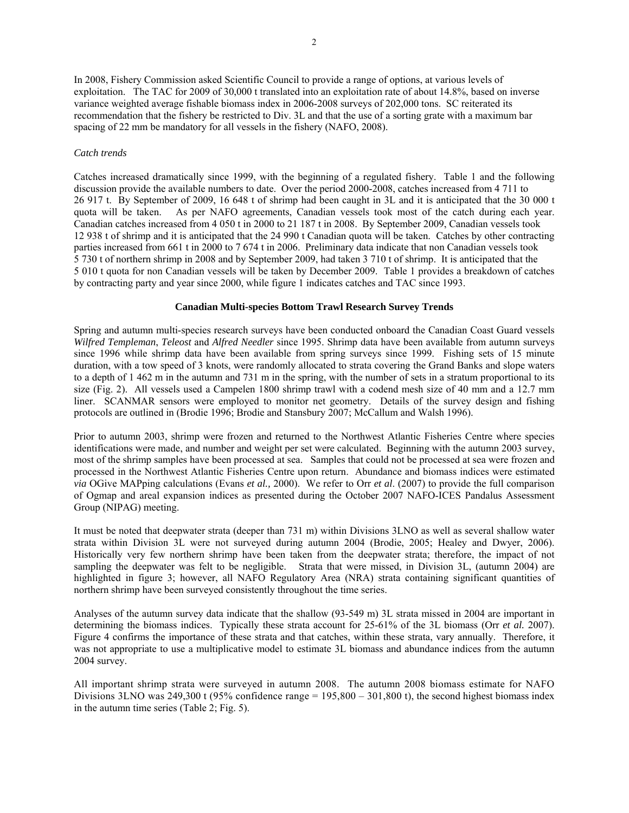In 2008, Fishery Commission asked Scientific Council to provide a range of options, at various levels of exploitation. The TAC for 2009 of 30,000 t translated into an exploitation rate of about 14.8%, based on inverse variance weighted average fishable biomass index in 2006-2008 surveys of 202,000 tons. SC reiterated its recommendation that the fishery be restricted to Div. 3L and that the use of a sorting grate with a maximum bar spacing of 22 mm be mandatory for all vessels in the fishery (NAFO, 2008).

## *Catch trends*

Catches increased dramatically since 1999, with the beginning of a regulated fishery. Table 1 and the following discussion provide the available numbers to date. Over the period 2000-2008, catches increased from 4 711 to 26 917 t. By September of 2009, 16 648 t of shrimp had been caught in 3L and it is anticipated that the 30 000 t quota will be taken. As per NAFO agreements, Canadian vessels took most of the catch during each vear. As per NAFO agreements, Canadian vessels took most of the catch during each year. Canadian catches increased from 4 050 t in 2000 to 21 187 t in 2008. By September 2009, Canadian vessels took 12 938 t of shrimp and it is anticipated that the 24 990 t Canadian quota will be taken. Catches by other contracting parties increased from 661 t in 2000 to 7 674 t in 2006. Preliminary data indicate that non Canadian vessels took 5 730 t of northern shrimp in 2008 and by September 2009, had taken 3 710 t of shrimp. It is anticipated that the 5 010 t quota for non Canadian vessels will be taken by December 2009. Table 1 provides a breakdown of catches by contracting party and year since 2000, while figure 1 indicates catches and TAC since 1993.

## **Canadian Multi-species Bottom Trawl Research Survey Trends**

Spring and autumn multi-species research surveys have been conducted onboard the Canadian Coast Guard vessels *Wilfred Templeman*, *Teleost* and *Alfred Needler* since 1995. Shrimp data have been available from autumn surveys since 1996 while shrimp data have been available from spring surveys since 1999. Fishing sets of 15 minute duration, with a tow speed of 3 knots, were randomly allocated to strata covering the Grand Banks and slope waters to a depth of 1 462 m in the autumn and 731 m in the spring, with the number of sets in a stratum proportional to its size (Fig. 2). All vessels used a Campelen 1800 shrimp trawl with a codend mesh size of 40 mm and a 12.7 mm liner. SCANMAR sensors were employed to monitor net geometry. Details of the survey design and fishing protocols are outlined in (Brodie 1996; Brodie and Stansbury 2007; McCallum and Walsh 1996).

Prior to autumn 2003, shrimp were frozen and returned to the Northwest Atlantic Fisheries Centre where species identifications were made, and number and weight per set were calculated. Beginning with the autumn 2003 survey, most of the shrimp samples have been processed at sea. Samples that could not be processed at sea were frozen and processed in the Northwest Atlantic Fisheries Centre upon return. Abundance and biomass indices were estimated *via* OGive MAPping calculations (Evans *et al.,* 2000). We refer to Orr *et al*. (2007) to provide the full comparison of Ogmap and areal expansion indices as presented during the October 2007 NAFO-ICES Pandalus Assessment Group (NIPAG) meeting.

It must be noted that deepwater strata (deeper than 731 m) within Divisions 3LNO as well as several shallow water strata within Division 3L were not surveyed during autumn 2004 (Brodie, 2005; Healey and Dwyer, 2006). Historically very few northern shrimp have been taken from the deepwater strata; therefore, the impact of not sampling the deepwater was felt to be negligible. Strata that were missed, in Division 3L, (autumn 2004) are highlighted in figure 3; however, all NAFO Regulatory Area (NRA) strata containing significant quantities of northern shrimp have been surveyed consistently throughout the time series.

Analyses of the autumn survey data indicate that the shallow (93-549 m) 3L strata missed in 2004 are important in determining the biomass indices. Typically these strata account for 25-61% of the 3L biomass (Orr *et al.* 2007). Figure 4 confirms the importance of these strata and that catches, within these strata, vary annually. Therefore, it was not appropriate to use a multiplicative model to estimate 3L biomass and abundance indices from the autumn 2004 survey.

All important shrimp strata were surveyed in autumn 2008. The autumn 2008 biomass estimate for NAFO Divisions 3LNO was 249,300 t (95% confidence range  $= 195,800 - 301,800$  t), the second highest biomass index in the autumn time series (Table 2; Fig. 5).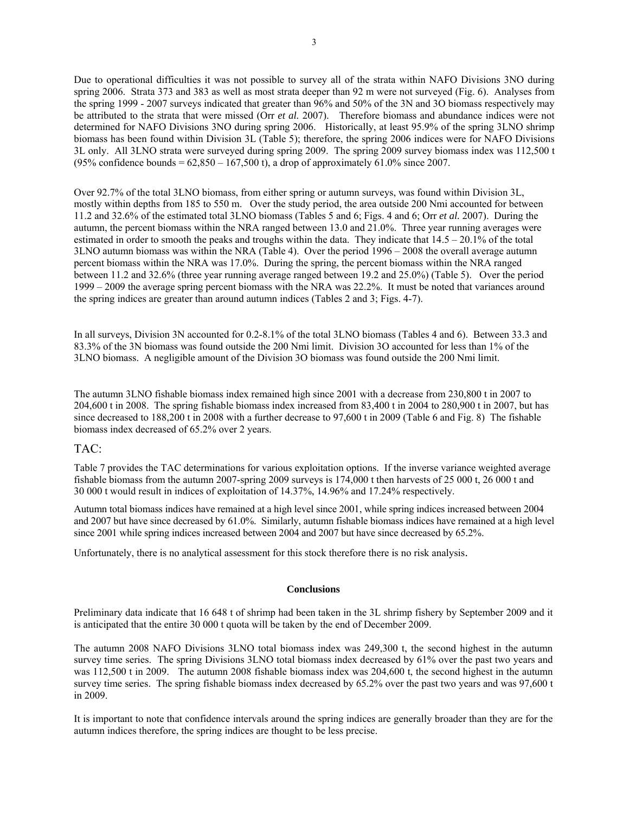Due to operational difficulties it was not possible to survey all of the strata within NAFO Divisions 3NO during spring 2006. Strata 373 and 383 as well as most strata deeper than 92 m were not surveyed (Fig. 6). Analyses from the spring 1999 - 2007 surveys indicated that greater than 96% and 50% of the 3N and 3O biomass respectively may be attributed to the strata that were missed (Orr *et al.* 2007). Therefore biomass and abundance indices were not determined for NAFO Divisions 3NO during spring 2006. Historically, at least 95.9% of the spring 3LNO shrimp biomass has been found within Division 3L (Table 5); therefore, the spring 2006 indices were for NAFO Divisions 3L only. All 3LNO strata were surveyed during spring 2009. The spring 2009 survey biomass index was 112,500 t (95% confidence bounds =  $62,850 - 167,500$  t), a drop of approximately 61.0% since 2007.

Over 92.7% of the total 3LNO biomass, from either spring or autumn surveys, was found within Division 3L, mostly within depths from 185 to 550 m. Over the study period, the area outside 200 Nmi accounted for between 11.2 and 32.6% of the estimated total 3LNO biomass (Tables 5 and 6; Figs. 4 and 6; Orr *et al.* 2007). During the autumn, the percent biomass within the NRA ranged between 13.0 and 21.0%. Three year running averages were estimated in order to smooth the peaks and troughs within the data. They indicate that  $14.5 - 20.1\%$  of the total 3LNO autumn biomass was within the NRA (Table 4). Over the period 1996 – 2008 the overall average autumn percent biomass within the NRA was 17.0%. During the spring, the percent biomass within the NRA ranged between 11.2 and 32.6% (three year running average ranged between 19.2 and 25.0%) (Table 5). Over the period 1999 – 2009 the average spring percent biomass with the NRA was 22.2%. It must be noted that variances around the spring indices are greater than around autumn indices (Tables 2 and 3; Figs. 4-7).

In all surveys, Division 3N accounted for 0.2-8.1% of the total 3LNO biomass (Tables 4 and 6). Between 33.3 and 83.3% of the 3N biomass was found outside the 200 Nmi limit. Division 3O accounted for less than 1% of the 3LNO biomass. A negligible amount of the Division 3O biomass was found outside the 200 Nmi limit.

The autumn 3LNO fishable biomass index remained high since 2001 with a decrease from 230,800 t in 2007 to 204,600 t in 2008. The spring fishable biomass index increased from 83,400 t in 2004 to 280,900 t in 2007, but has since decreased to 188,200 t in 2008 with a further decrease to 97,600 t in 2009 (Table 6 and Fig. 8) The fishable biomass index decreased of 65.2% over 2 years.

# TAC:

Table 7 provides the TAC determinations for various exploitation options. If the inverse variance weighted average fishable biomass from the autumn 2007-spring 2009 surveys is 174,000 t then harvests of 25 000 t, 26 000 t and 30 000 t would result in indices of exploitation of 14.37%, 14.96% and 17.24% respectively.

Autumn total biomass indices have remained at a high level since 2001, while spring indices increased between 2004 and 2007 but have since decreased by 61.0%. Similarly, autumn fishable biomass indices have remained at a high level since 2001 while spring indices increased between 2004 and 2007 but have since decreased by 65.2%.

Unfortunately, there is no analytical assessment for this stock therefore there is no risk analysis.

### **Conclusions**

Preliminary data indicate that 16 648 t of shrimp had been taken in the 3L shrimp fishery by September 2009 and it is anticipated that the entire 30 000 t quota will be taken by the end of December 2009.

The autumn 2008 NAFO Divisions 3LNO total biomass index was 249,300 t, the second highest in the autumn survey time series. The spring Divisions 3LNO total biomass index decreased by 61% over the past two years and was 112,500 t in 2009. The autumn 2008 fishable biomass index was 204,600 t, the second highest in the autumn survey time series. The spring fishable biomass index decreased by 65.2% over the past two years and was 97,600 t in 2009.

It is important to note that confidence intervals around the spring indices are generally broader than they are for the autumn indices therefore, the spring indices are thought to be less precise.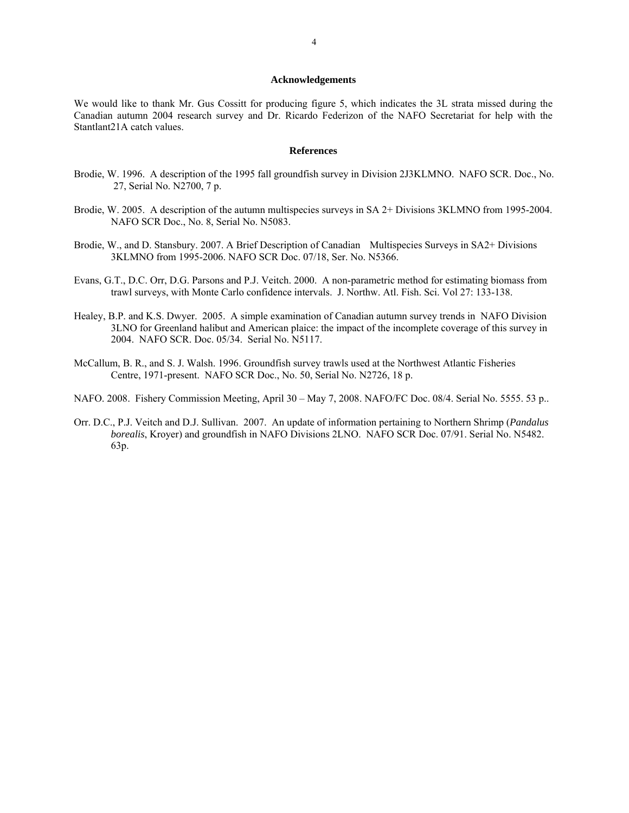## **Acknowledgements**

We would like to thank Mr. Gus Cossitt for producing figure 5, which indicates the 3L strata missed during the Canadian autumn 2004 research survey and Dr. Ricardo Federizon of the NAFO Secretariat for help with the Stantlant21A catch values.

#### **References**

- Brodie, W. 1996. A description of the 1995 fall groundfish survey in Division 2J3KLMNO. NAFO SCR. Doc., No. 27, Serial No. N2700, 7 p.
- Brodie, W. 2005. A description of the autumn multispecies surveys in SA 2+ Divisions 3KLMNO from 1995-2004. NAFO SCR Doc., No. 8, Serial No. N5083.
- Brodie, W., and D. Stansbury. 2007. A Brief Description of Canadian Multispecies Surveys in SA2+ Divisions 3KLMNO from 1995-2006. NAFO SCR Doc. 07/18, Ser. No. N5366.
- Evans, G.T., D.C. Orr, D.G. Parsons and P.J. Veitch. 2000. A non-parametric method for estimating biomass from trawl surveys, with Monte Carlo confidence intervals. J. Northw. Atl. Fish. Sci. Vol 27: 133-138.
- Healey, B.P. and K.S. Dwyer. 2005. A simple examination of Canadian autumn survey trends in NAFO Division 3LNO for Greenland halibut and American plaice: the impact of the incomplete coverage of this survey in 2004. NAFO SCR. Doc. 05/34. Serial No. N5117.
- McCallum, B. R., and S. J. Walsh. 1996. Groundfish survey trawls used at the Northwest Atlantic Fisheries Centre, 1971-present. NAFO SCR Doc., No. 50, Serial No. N2726, 18 p.
- NAFO. 2008. Fishery Commission Meeting, April 30 May 7, 2008. NAFO/FC Doc. 08/4. Serial No. 5555. 53 p..
- Orr. D.C., P.J. Veitch and D.J. Sullivan. 2007. An update of information pertaining to Northern Shrimp (*Pandalus borealis*, Kroyer) and groundfish in NAFO Divisions 2LNO. NAFO SCR Doc. 07/91. Serial No. N5482. 63p.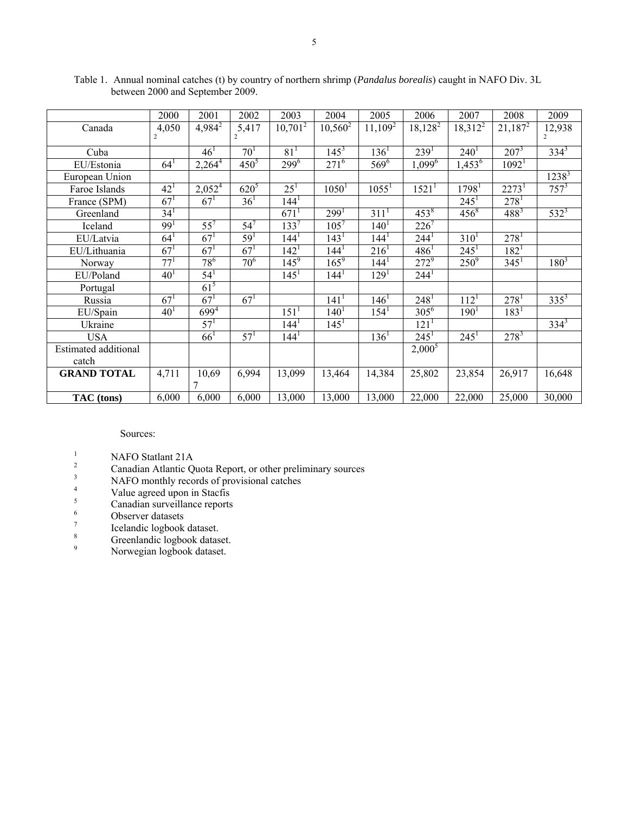|                             | 2000            | 2001            | 2002            | 2003             | 2004             | 2005             | 2006                   | 2007                   | 2008              | 2009      |
|-----------------------------|-----------------|-----------------|-----------------|------------------|------------------|------------------|------------------------|------------------------|-------------------|-----------|
| Canada                      | 4,050           | $4,984^2$       | 5,417           | $10,701^2$       | $10,560^2$       | $11,109^2$       | $18,128^2$             | $18,312^2$             | $21,187^2$        | 12,938    |
|                             |                 |                 |                 |                  |                  |                  |                        |                        |                   |           |
| Cuba                        |                 | 46 <sup>1</sup> | 70 <sup>1</sup> | $81^{1}$         | $145^3$          | $136^1$          | 239 <sup>1</sup>       | $240^{1}$              | $207^3$           | $334^{3}$ |
| EU/Estonia                  | $64^{1}$        | $2,264^4$       | $450^{5}$       | $299^{6}$        | $271^{6}$        | $569^{6}$        | $1,099^{6}$            | $1,45\overline{3}^{6}$ | 1092 <sup>1</sup> |           |
| European Union              |                 |                 |                 |                  |                  |                  |                        |                        |                   | $1238^3$  |
| Faroe Islands               | 42 <sup>1</sup> | $2,052^{4}$     | $620^{5}$       | $25^{1}$         | $1050^1$         | $1055^1$         | 1521 <sup>1</sup>      | 1798 <sup>1</sup>      | 2273 <sup>1</sup> | $757^3$   |
| France (SPM)                | $67^{1}$        | $67^{1}$        | $36^{1}$        | 144 <sup>1</sup> |                  |                  |                        | $245^1$                | $278^1$           |           |
| Greenland                   | 34 <sup>1</sup> |                 |                 | $671^1$          | 299 <sup>1</sup> | 311 <sup>1</sup> | $453^8$                | $456^8$                | $488^{3}$         | $532^{3}$ |
| Iceland                     | 99 <sup>1</sup> | $55^7$          | $54^7$          | $133^{7}$        | $105^{7}$        | $140^{1}$        | $226^7$                |                        |                   |           |
| EU/Latvia                   | $64^{1}$        | $67^{1}$        | $59^{1}$        | 144 <sup>1</sup> | 143 <sup>1</sup> | $144^{1}$        | $244^1$                | $310^{1}$              | $278^1$           |           |
| EU/Lithuania                | 67 <sup>1</sup> | 67 <sup>1</sup> | $67^{1}$        | 142 <sup>1</sup> | 144 <sup>1</sup> | 216 <sup>1</sup> | $486^1$                | $245^1$                | $182^1$           |           |
| Norway                      | $77^{1}$        | $78^{6}$        | $70^{6}$        | $145^9$          | $165^9$          | 144 <sup>1</sup> | $272^9$                | $250^9$                | $345^1$           | $180^{3}$ |
| EU/Poland                   | 40 <sup>1</sup> | $54^{1}$        |                 | $145^1$          | 144 <sup>1</sup> | 129 <sup>1</sup> | $244^1$                |                        |                   |           |
| Portugal                    |                 | $61^5$          |                 |                  |                  |                  |                        |                        |                   |           |
| Russia                      | $67^{1}$        | $67^{1}$        | $67^{1}$        |                  | 141 <sup>1</sup> | $146^1$          | $248^1$                | 112 <sup>1</sup>       | $278^{1}$         | $335^3$   |
| EU/Spain                    | 40 <sup>1</sup> | $699^{4}$       |                 | $151^1$          | $140^{1}$        | $154^1$          | $30\overline{5^6}$     | $190^1$                | $183^1$           |           |
| Ukraine                     |                 | 57 <sup>1</sup> |                 | $144^1$          | $145^1$          |                  | 121 <sup>1</sup>       |                        |                   | $334^{3}$ |
| <b>USA</b>                  |                 | $66^{1}$        | $57^{1}$        | 144 <sup>1</sup> |                  | $136^1$          | $245^1$                | $245^1$                | $278^{3}$         |           |
| <b>Estimated additional</b> |                 |                 |                 |                  |                  |                  | $2,000^{\overline{5}}$ |                        |                   |           |
| catch                       |                 |                 |                 |                  |                  |                  |                        |                        |                   |           |
| <b>GRAND TOTAL</b>          | 4,711           | 10,69           | 6,994           | 13,099           | 13,464           | 14,384           | 25,802                 | 23,854                 | 26,917            | 16,648    |
|                             |                 | 7               |                 |                  |                  |                  |                        |                        |                   |           |
| TAC (tons)                  | 6,000           | 6,000           | 6,000           | 13,000           | 13,000           | 13,000           | 22,000                 | 22,000                 | 25,000            | 30,000    |

Table 1. Annual nominal catches (t) by country of northern shrimp (*Pandalus borealis*) caught in NAFO Div. 3L between 2000 and September 2009.

## Sources:

- 
- <sup>1</sup><br>
<sup>2</sup> Canadian Atlantic Quota Report, or other preliminary sources<br>
<sup>3</sup> NAEO monthly records of previousnl estabes
- NAFO monthly records of provisional catches
- 4 Value agreed upon in Stacfis
- $5 \t{\text{Canadian surveillance reports}}$
- <sup>6</sup> Observer datasets
- 7 Icelandic logbook dataset.
- 8 Greenlandic logbook dataset.
- 9 Norwegian logbook dataset.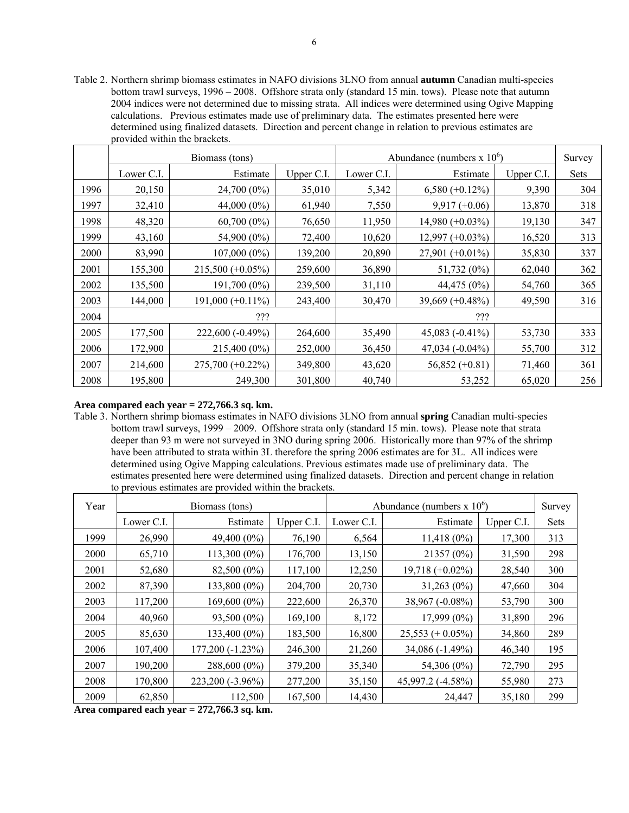Table 2. Northern shrimp biomass estimates in NAFO divisions 3LNO from annual **autumn** Canadian multi-species bottom trawl surveys, 1996 – 2008. Offshore strata only (standard 15 min. tows). Please note that autumn 2004 indices were not determined due to missing strata. All indices were determined using Ogive Mapping calculations. Previous estimates made use of preliminary data. The estimates presented here were determined using finalized datasets. Direction and percent change in relation to previous estimates are provided within the brackets.

|      |            | Biomass (tons)      |            | Abundance (numbers $x 10^6$ ) | Survey             |            |             |
|------|------------|---------------------|------------|-------------------------------|--------------------|------------|-------------|
|      | Lower C.I. | Estimate            | Upper C.I. | Lower C.I.                    | Estimate           | Upper C.I. | <b>Sets</b> |
| 1996 | 20,150     | 24,700 (0%)         | 35,010     | 5,342                         | $6,580 (+0.12\%)$  | 9,390      | 304         |
| 1997 | 32,410     | $44,000(0\%)$       | 61,940     | 7,550                         | $9,917 (+0.06)$    | 13,870     | 318         |
| 1998 | 48,320     | $60,700(0\%)$       | 76,650     | 11,950                        | $14,980 (+0.03%)$  | 19,130     | 347         |
| 1999 | 43,160     | 54,900 (0%)         | 72,400     | 10,620                        | $12,997 (+0.03%)$  | 16,520     | 313         |
| 2000 | 83,990     | $107,000(0\%)$      | 139,200    | 20,890                        | $27,901 (+0.01\%)$ | 35,830     | 337         |
| 2001 | 155,300    | $215,500 (+0.05\%)$ | 259,600    | 36,890                        | 51,732 (0%)        | 62,040     | 362         |
| 2002 | 135,500    | $191,700(0\%)$      | 239,500    | 31,110                        | 44,475 (0%)        | 54,760     | 365         |
| 2003 | 144,000    | $191,000 (+0.11\%)$ | 243,400    | 30,470                        | $39,669 (+0.48\%)$ | 49,590     | 316         |
| 2004 |            | ???                 |            |                               | ???                |            |             |
| 2005 | 177,500    | 222,600 (-0.49%)    | 264,600    | 35,490                        | 45,083 $(-0.41\%)$ | 53,730     | 333         |
| 2006 | 172,900    | 215,400 (0%)        | 252,000    | 36,450                        | 47,034 (-0.04%)    | 55,700     | 312         |
| 2007 | 214,600    | $275,700 (+0.22\%)$ | 349,800    | 43,620                        | $56,852 (+0.81)$   | 71,460     | 361         |
| 2008 | 195,800    | 249,300             | 301,800    | 40,740                        | 53,252             | 65,020     | 256         |

## **Area compared each year = 272,766.3 sq. km.**

Table 3. Northern shrimp biomass estimates in NAFO divisions 3LNO from annual **spring** Canadian multi-species bottom trawl surveys, 1999 – 2009. Offshore strata only (standard 15 min. tows). Please note that strata deeper than 93 m were not surveyed in 3NO during spring 2006. Historically more than 97% of the shrimp have been attributed to strata within 3L therefore the spring 2006 estimates are for 3L. All indices were determined using Ogive Mapping calculations. Previous estimates made use of preliminary data. The estimates presented here were determined using finalized datasets. Direction and percent change in relation to previous estimates are provided within the brackets.

| Year |            | Biomass (tons)     |            | Abundance (numbers $x 10^6$ ) | Survey              |            |      |
|------|------------|--------------------|------------|-------------------------------|---------------------|------------|------|
|      | Lower C.I. | Estimate           | Upper C.I. | Lower C.I.                    | Estimate            | Upper C.I. | Sets |
| 1999 | 26,990     | $49,400(0\%)$      | 76,190     | 6,564                         | $11,418(0\%)$       | 17,300     | 313  |
| 2000 | 65,710     | $113,300(0\%)$     | 176,700    | 13,150                        | 21357 (0%)          | 31,590     | 298  |
| 2001 | 52,680     | $82,500(0\%)$      | 117,100    | 12,250                        | $19,718 (+0.02\%)$  | 28,540     | 300  |
| 2002 | 87,390     | 133,800 (0%)       | 204,700    | 20,730                        | $31,263(0\%)$       | 47,660     | 304  |
| 2003 | 117,200    | $169,600(0\%)$     | 222,600    | 26,370                        | $38,967(-0.08\%)$   | 53,790     | 300  |
| 2004 | 40,960     | $93,500(0\%)$      | 169,100    | 8,172                         | $17,999(0\%)$       | 31,890     | 296  |
| 2005 | 85,630     | $133,400(0\%)$     | 183,500    | 16,800                        | $25,553 (+ 0.05\%)$ | 34,860     | 289  |
| 2006 | 107,400    | $177,200(-1.23\%)$ | 246,300    | 21,260                        | 34,086 (-1.49%)     | 46,340     | 195  |
| 2007 | 190,200    | 288,600 (0%)       | 379,200    | 35,340                        | 54,306 (0%)         | 72,790     | 295  |
| 2008 | 170,800    | $223,200(-3.96\%)$ | 277,200    | 35,150                        | 45,997.2 (-4.58%)   | 55,980     | 273  |
| 2009 | 62,850     | 112,500            | 167,500    | 14,430                        | 24,447              | 35,180     | 299  |

**Area compared each year = 272,766.3 sq. km.**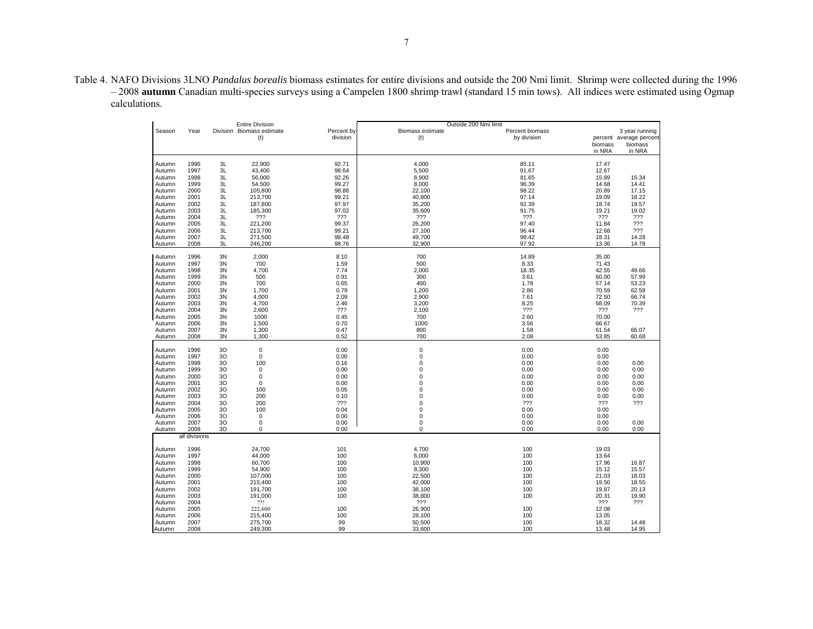Table 4. NAFO Divisions 3LNO *Pandalus borealis* biomass estimates for entire divisions and outside the 200 Nmi limit. Shrimp were collected during the 1996 – 2008 **autumn** Canadian multi-species surveys using a Campelen 1800 shrimp trawl (standard 15 min tows). All indices were estimated using Ogmap calculations.

|        |               |                           | <b>Entire Division</b> |                        | Outside 200 Nmi limit   |                                |                 |                                                      |
|--------|---------------|---------------------------|------------------------|------------------------|-------------------------|--------------------------------|-----------------|------------------------------------------------------|
| Season | Year          | Division Biomass estimate | (t)                    | Percent by<br>division | Biomass estimate<br>(t) | Percent biomass<br>by division | biomass         | 3 year running<br>percent average percent<br>biomass |
|        |               |                           |                        |                        |                         |                                | in NRA          | in NRA                                               |
| Autumn | 1996          | 3L                        | 22,900                 | 92.71                  | 4,000                   | 85.11                          | 17.47           |                                                      |
| Autumn | 1997          | 3L                        | 43,400                 | 98.64                  | 5,500                   | 91.67                          | 12.67           |                                                      |
| Autumn | 1998          | 3L                        | 56,000                 | 92.26                  | 8,900                   | 81.65                          | 15.89           | 15.34                                                |
| Autumn | 1999          | 3L                        | 54,500                 | 99.27                  | 8,000                   | 96.39                          | 14.68           | 14.41                                                |
| Autumn | 2000          | 3L                        | 105,800                | 98.88                  | 22,100                  | 98.22                          | 20.89           | 17.15                                                |
| Autumn | 2001          | 3L                        | 213,700                | 99.21                  | 40,800                  | 97.14                          | 19.09           | 18.22                                                |
| Autumn | 2002          | 3L                        | 187,800                | 97.97                  | 35,200                  | 92.39                          | 18.74           | 19.57                                                |
| Autumn | 2003          | 3L                        | 185,300                | 97.02                  | 35,600                  | 91.75                          | 19.21           | 19.02                                                |
| Autumn | 2004          | 3L                        | ???                    | ???                    | ???                     | 777                            | ???             | ???                                                  |
| Autumn | 2005          | 3L                        | 221,200                | 99.37                  | 26,200                  | 97.40                          | 11.84           | ???                                                  |
| Autumn | 2006          | 3L                        | 213,700                | 99.21                  | 27,100                  | 96.44                          | 12.68           | ???                                                  |
|        | 2007          | 3L                        | 271,500                | 98.48                  | 49,700                  | 98.42                          | 18.31           | 14.28                                                |
| Autumn | 2008          | 3L                        | 246,200                | 98.76                  | 32,900                  | 97.92                          | 13.36           | 14.78                                                |
| Autumn |               |                           |                        |                        |                         |                                |                 |                                                      |
| Autumn | 1996          | 3N                        | 2,000                  | 8.10                   | 700                     | 14.89                          | 35.00           |                                                      |
| Autumn | 1997          | 3N                        | 700                    | 1.59                   | 500                     | 8.33                           | 71.43           |                                                      |
| Autumn | 1998          | 3N                        | 4,700                  | 7.74                   | 2,000                   | 18.35                          | 42.55           | 49.66                                                |
| Autumn | 1999          | 3N                        | 500                    | 0.91                   | 300                     | 3.61                           | 60.00           | 57.99                                                |
| Autumn | 2000          | 3N                        | 700                    | 0.65                   | 400                     | 1.78                           | 57.14           | 53.23                                                |
| Autumn | 2001          | 3N                        | 1,700                  | 0.79                   | 1,200                   | 2.86                           | 70.59           | 62.58                                                |
| Autumn | 2002          | 3N                        | 4,000                  | 2.09                   | 2,900                   | 7.61                           | 72.50           | 66.74                                                |
| Autumn | 2003          | 3N                        | 4,700                  | 2.46                   | 3,200                   | 8.25                           | 68.09           | 70.39                                                |
| Autumn | 2004          | 3N                        | 2,600                  | 777                    | 2,100                   | ???                            | $??\mathcal{?}$ | ???                                                  |
| Autumn | 2005          | 3N                        | 1000                   | 0.45                   | 700                     | 2.60                           | 70.00           |                                                      |
| Autumn | 2006          | 3N                        | 1,500                  | 0.70                   | 1000                    | 3.56                           | 66.67           |                                                      |
| Autumn | 2007          | 3N                        | 1,300                  | 0.47                   | 800                     | 1.58                           | 61.54           | 66.07                                                |
| Autumn | 2008          | 3N                        | 1,300                  | 0.52                   | 700                     | 2.08                           | 53.85           | 60.68                                                |
| Autumn | 1996          | 30                        | $\mathbf 0$            | 0.00                   | $\mathbf 0$             | 0.00                           | 0.00            |                                                      |
| Autumn | 1997          | 30                        | $\mathbf 0$            | 0.00                   | $\pmb{0}$               | 0.00                           | 0.00            |                                                      |
| Autumn | 1998          | 30                        | 100                    | 0.16                   | $\mathsf 0$             | 0.00                           | 0.00            | 0.00                                                 |
| Autumn | 1999          | 30                        | 0                      | 0.00                   | 0                       | 0.00                           | 0.00            | 0.00                                                 |
| Autumn | 2000          | 30                        | $\mathbf 0$            | 0.00                   | $\mathbf 0$             | 0.00                           | 0.00            | 0.00                                                 |
| Autumn | 2001          | 30                        | $\mathbf 0$            | 0.00                   | $\mathbf 0$             | 0.00                           | 0.00            | 0.00                                                 |
| Autumn | 2002          | 30                        | 100                    | 0.05                   | $\mathbf 0$             | 0.00                           | 0.00            | 0.00                                                 |
| Autumn | 2003          | 30                        | 200                    | 0.10                   | $\mathbf 0$             | 0.00                           | 0.00            | 0.00                                                 |
| Autumn | 2004          | 30                        | 200                    | ???                    | $\mathbf 0$             | 222                            | ???             | ???                                                  |
| Autumn | 2005          | 30                        | 100                    | 0.04                   | 0                       | 0.00                           | 0.00            |                                                      |
| Autumn | 2006          | 30                        | $\mathbf 0$            | 0.00                   | $\mathbf 0$             | 0.00                           | 0.00            |                                                      |
| Autumn | 2007          | 30                        | $\mathbf 0$            | 0.00                   | $\pmb{0}$               | 0.00                           | 0.00            | 0.00                                                 |
| Autumn | 2008          | 30                        | $\mathbf 0$            | 0.00                   | 0                       | 0.00                           | 0.00            | 0.00                                                 |
|        | all divisions |                           |                        |                        |                         |                                |                 |                                                      |
|        |               |                           |                        |                        |                         |                                |                 |                                                      |
| Autumn | 1996          |                           | 24,700                 | 101                    | 4,700                   | 100                            | 19.03           |                                                      |
| Autumn | 1997          |                           | 44,000                 | 100                    | 6,000                   | 100                            | 13.64           |                                                      |
| Autumn | 1998          |                           | 60,700                 | 100                    | 10,900                  | 100                            | 17.96           | 16.87                                                |
| Autumn | 1999          |                           | 54,900                 | 100<br>100             | 8,300                   | 100<br>100                     | 15.12           | 15.57<br>18.03                                       |
| Autumn | 2000          |                           | 107,000                |                        | 22,500                  |                                | 21.03           |                                                      |
| Autumn | 2001          |                           | 215,400                | 100                    | 42,000                  | 100                            | 19.50           | 18.55                                                |
| Autumn | 2002          |                           | 191,700                | 100                    | 38,100                  | 100                            | 19.87           | 20.13                                                |
| Autumn | 2003          |                           | 191,000                | 100                    | 38,800                  | 100                            | 20.31           | 19.90                                                |
| Autumn | 2004          |                           | 222                    |                        | 777                     |                                | ???             | ???                                                  |
| Autumn | 2005          |                           | 222,600                | 100                    | 26,900                  | 100                            | 12.08           |                                                      |
| Autumn | 2006          |                           | 215,400                | 100                    | 28,100                  | 100                            | 13.05           |                                                      |
| Autumn | 2007          |                           | 275,700                | 99                     | 50,500                  | 100                            | 18.32           | 14.48                                                |
| Autumn | 2008          |                           | 249,300                | 99                     | 33,600                  | 100                            | 13.48           | 14.95                                                |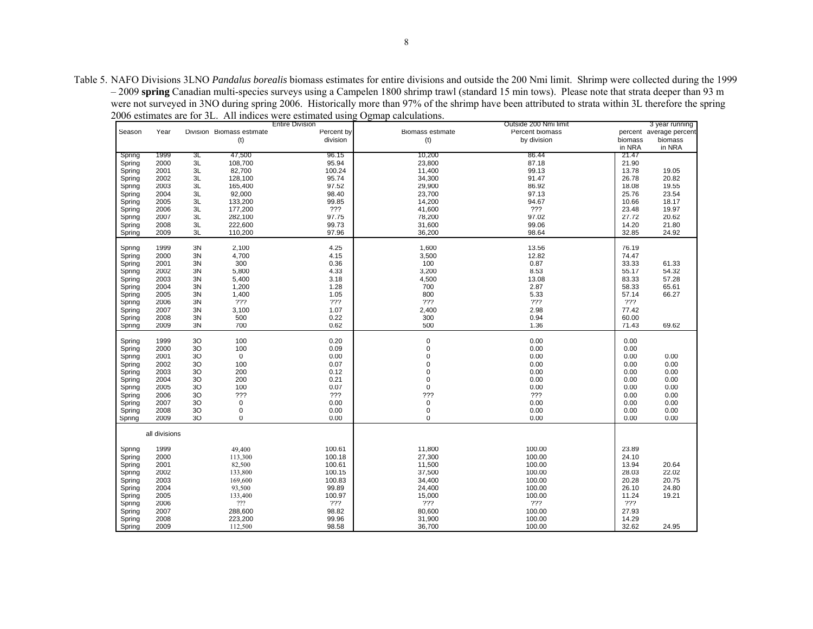Table 5. NAFO Divisions 3LNO *Pandalus borealis* biomass estimates for entire divisions and outside the 200 Nmi limit. Shrimp were collected during the 1999 – 2009 **spring** Canadian multi-species surveys using a Campelen 1800 shrimp trawl (standard 15 min tows). Please note that strata deeper than 93 m were not surveyed in 3NO during spring 2006. Historically more than 97% of the shrimp have been attributed to strata within 3L therefore the spring 2006 estimates are for 3L. All indices were estimated using Ogmap calculations.

|        |               |                |                                  | <b>Entire Division</b> |                  | Outside 200 Nmi limit |         | 3 year running          |
|--------|---------------|----------------|----------------------------------|------------------------|------------------|-----------------------|---------|-------------------------|
| Season | Year          |                | Division Biomass estimate        | Percent by             | Biomass estimate | Percent biomass       |         | percent average percent |
|        |               |                | (t)                              | division               | (t)              | by division           | biomass | biomass                 |
|        |               |                |                                  |                        |                  |                       | in NRA  | in NRA                  |
| Spring | 1999          | ЗL             | 47,500                           | 96.15                  | 10,200           | 86.44                 | 21.47   |                         |
| Spring | 2000          | 3L             | 108,700                          | 95.94                  | 23,800           | 87.18                 | 21.90   |                         |
| Spring | 2001          | 3L             | 82,700                           | 100.24                 | 11,400           | 99.13                 | 13.78   | 19.05                   |
|        |               |                |                                  |                        |                  |                       |         |                         |
| Spring | 2002          | 3L             | 128,100                          | 95.74                  | 34,300           | 91.47                 | 26.78   | 20.82                   |
| Spring | 2003          | 3L             | 165,400                          | 97.52                  | 29,900           | 86.92                 | 18.08   | 19.55                   |
| Spring | 2004          | 3L             | 92,000                           | 98.40                  | 23,700           | 97.13                 | 25.76   | 23.54                   |
| Spring | 2005          | 3L             | 133,200                          | 99.85                  | 14,200           | 94.67                 | 10.66   | 18.17                   |
| Spring | 2006          | 3L             | 177,200                          | ???                    | 41,600           | ???                   | 23.48   | 19.97                   |
| Spring | 2007          | 3L             | 282,100                          | 97.75                  | 78,200           | 97.02                 | 27.72   | 20.62                   |
| Spring | 2008          | 3L             | 222,600                          | 99.73                  | 31,600           | 99.06                 | 14.20   | 21.80                   |
| Spring | 2009          | 3L             | 110,200                          | 97.96                  | 36,200           | 98.64                 | 32.85   | 24.92                   |
|        |               |                |                                  |                        |                  |                       |         |                         |
|        | 1999          |                |                                  |                        | 1,600            |                       |         |                         |
| Spring |               | 3N             | 2,100                            | 4.25                   |                  | 13.56                 | 76.19   |                         |
| Spring | 2000          | 3N             | 4,700                            | 4.15                   | 3,500            | 12.82                 | 74.47   |                         |
| Spring | 2001          | 3N             | 300                              | 0.36                   | 100              | 0.87                  | 33.33   | 61.33                   |
| Spring | 2002          | 3N             | 5,800                            | 4.33                   | 3,200            | 8.53                  | 55.17   | 54.32                   |
| Spring | 2003          | 3N             | 5,400                            | 3.18                   | 4,500            | 13.08                 | 83.33   | 57.28                   |
| Spring | 2004          | 3N             | 1,200                            | 1.28                   | 700              | 2.87                  | 58.33   | 65.61                   |
| Spring | 2005          | 3N             | 1,400                            | 1.05                   | 800              | 5.33                  | 57.14   | 66.27                   |
| Spring | 2006          | 3N             | 222                              | ???                    | ???              | ???                   | ???     |                         |
| Spring | 2007          | 3N             | 3,100                            | 1.07                   | 2,400            | 2.98                  | 77.42   |                         |
|        | 2008          | 3N             | 500                              | 0.22                   | 300              | 0.94                  | 60.00   |                         |
| Spring |               |                | 700                              |                        |                  |                       |         |                         |
| Spring | 2009          | 3N             |                                  | 0.62                   | 500              | 1.36                  | 71.43   | 69.62                   |
|        |               |                |                                  |                        |                  |                       |         |                         |
| Spring | 1999          | 30             | 100                              | 0.20                   | 0                | 0.00                  | 0.00    |                         |
| Spring | 2000          | 30             | 100                              | 0.09                   | $\mathbf 0$      | 0.00                  | 0.00    |                         |
| Spring | 2001          | 30             | $\mathsf 0$                      | 0.00                   | $\Omega$         | 0.00                  | 0.00    | 0.00                    |
| Spring | 2002          | 3O             | 100                              | 0.07                   | 0                | 0.00                  | 0.00    | 0.00                    |
| Spring | 2003          | 30             | 200                              | 0.12                   | $\Omega$         | 0.00                  | 0.00    | 0.00                    |
| Spring | 2004          | 3O             | 200                              | 0.21                   | 0                | 0.00                  | 0.00    | $0.00\,$                |
| Spring | 2005          | 30             | 100                              | 0.07                   | $\mathbf 0$      | 0.00                  | 0.00    | 0.00                    |
| Spring | 2006          | 3 <sub>O</sub> | ???                              | ???                    | ???              | ???                   | 0.00    | 0.00                    |
| Spring | 2007          | 30             | $\mathbf 0$                      | 0.00                   | $\mathbf 0$      | 0.00                  | 0.00    | 0.00                    |
|        | 2008          | 3 <sub>O</sub> | 0                                | 0.00                   | 0                | 0.00                  | 0.00    | 0.00                    |
| Spring | 2009          | 3 <sub>O</sub> | 0                                | 0.00                   | 0                | 0.00                  | 0.00    | 0.00                    |
| Spring |               |                |                                  |                        |                  |                       |         |                         |
|        |               |                |                                  |                        |                  |                       |         |                         |
|        | all divisions |                |                                  |                        |                  |                       |         |                         |
|        |               |                |                                  |                        |                  |                       |         |                         |
| Spring | 1999          |                | 49,400                           | 100.61                 | 11,800           | 100.00                | 23.89   |                         |
| Spring | 2000          |                | 113,300                          | 100.18                 | 27,300           | 100.00                | 24.10   |                         |
| Spring | 2001          |                | 82,500                           | 100.61                 | 11,500           | 100.00                | 13.94   | 20.64                   |
| Spring | 2002          |                | 133,800                          | 100.15                 | 37,500           | 100.00                | 28.03   | 22.02                   |
| Spring | 2003          |                | 169,600                          | 100.83                 | 34,400           | 100.00                | 20.28   | 20.75                   |
| Spring | 2004          |                | 93,500                           | 99.89                  | 24,400           | 100.00                | 26.10   | 24.80                   |
| Spring | 2005          |                | 133,400                          | 100.97                 | 15,000           | 100.00                | 11.24   | 19.21                   |
|        |               |                |                                  |                        |                  |                       |         |                         |
| Spring | 2006          |                | $\mathbf{?}\mathbf{?}\mathbf{?}$ | ???                    | ???              | ???                   | ???     |                         |
| Spring | 2007          |                | 288,600                          | 98.82                  | 80,600           | 100.00                | 27.93   |                         |
| Spring | 2008          |                | 223,200                          | 99.96                  | 31,900           | 100.00                | 14.29   |                         |
| Spring | 2009          |                | 112,500                          | 98.58                  | 36,700           | 100.00                | 32.62   | 24.95                   |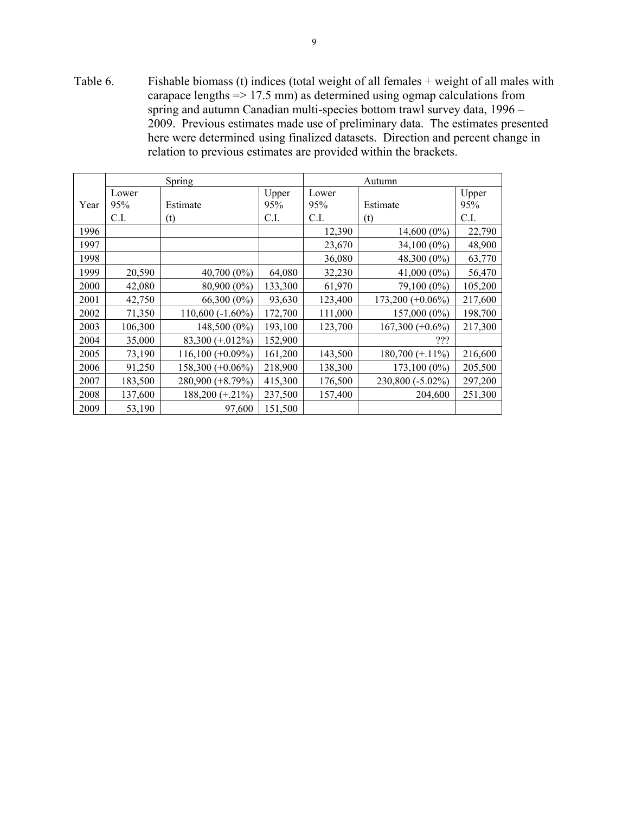Table 6. Fishable biomass (t) indices (total weight of all females + weight of all males with carapace lengths => 17.5 mm) as determined using ogmap calculations from spring and autumn Canadian multi-species bottom trawl survey data, 1996 – 2009. Previous estimates made use of preliminary data. The estimates presented here were determined using finalized datasets. Direction and percent change in relation to previous estimates are provided within the brackets.

|      |         | Spring              |         | Autumn  |                     |         |  |
|------|---------|---------------------|---------|---------|---------------------|---------|--|
|      | Lower   |                     | Upper   | Lower   |                     | Upper   |  |
| Year | 95%     | Estimate            | 95%     | 95%     | Estimate            | 95%     |  |
|      | C.I.    | (t)                 | C.I.    | C.I.    | (t)                 | C.I.    |  |
| 1996 |         |                     |         | 12,390  | $14,600(0\%)$       | 22,790  |  |
| 1997 |         |                     |         | 23,670  | 34,100 (0%)         | 48,900  |  |
| 1998 |         |                     |         | 36,080  | 48,300 (0%)         | 63,770  |  |
| 1999 | 20,590  | $40,700(0\%)$       | 64,080  | 32,230  | $41,000(0\%)$       | 56,470  |  |
| 2000 | 42,080  | 80,900 (0%)         | 133,300 | 61,970  | 79,100 (0%)         | 105,200 |  |
| 2001 | 42,750  | 66,300 (0%)         | 93,630  | 123,400 | $173,200 (+0.06\%)$ | 217,600 |  |
| 2002 | 71,350  | $110,600(-1.60\%)$  | 172,700 | 111,000 | 157,000 (0%)        | 198,700 |  |
| 2003 | 106,300 | 148,500 (0%)        | 193,100 | 123,700 | $167,300 (+0.6\%)$  | 217,300 |  |
| 2004 | 35,000  | 83,300 (+.012%)     | 152,900 |         | ???                 |         |  |
| 2005 | 73,190  | $116,100 (+0.09\%)$ | 161,200 | 143,500 | $180,700 (+.11\%)$  | 216,600 |  |
| 2006 | 91,250  | $158,300 (+0.06\%)$ | 218,900 | 138,300 | 173,100 (0%)        | 205,500 |  |
| 2007 | 183,500 | 280,900 (+8.79%)    | 415,300 | 176,500 | 230,800 (-5.02%)    | 297,200 |  |
| 2008 | 137,600 | $188,200 (+.21\%)$  | 237,500 | 157,400 | 204,600             | 251,300 |  |
| 2009 | 53,190  | 97,600              | 151,500 |         |                     |         |  |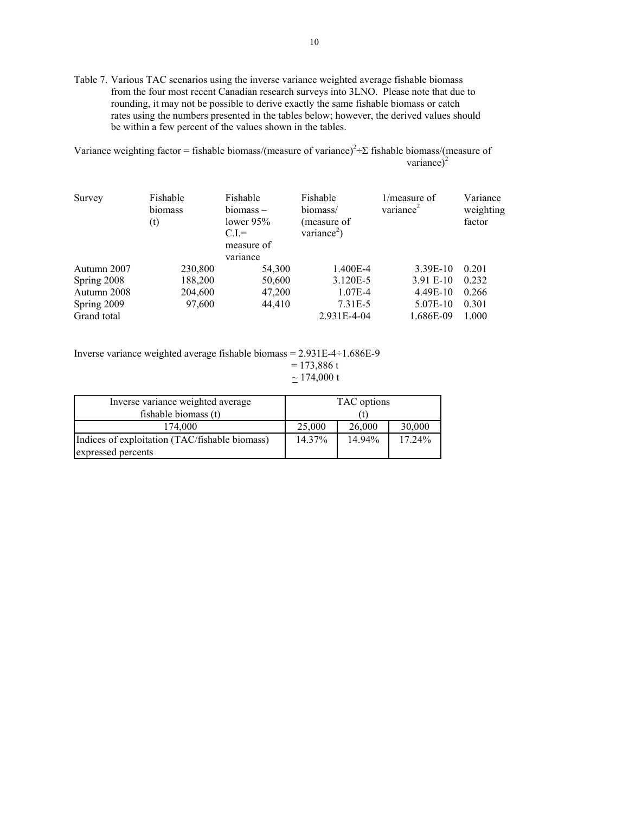Table 7. Various TAC scenarios using the inverse variance weighted average fishable biomass from the four most recent Canadian research surveys into 3LNO. Please note that due to rounding, it may not be possible to derive exactly the same fishable biomass or catch rates using the numbers presented in the tables below; however, the derived values should be within a few percent of the values shown in the tables.

Variance weighting factor = fishable biomass/(measure of variance)<sup>2</sup>÷Σ fishable biomass/(measure of variance) $^2$ 

| Survey      | Fishable<br>biomass<br>(t) | Fishable<br>$biomass -$<br>lower $95\%$<br>$CL =$<br>measure of<br>variance | Fishable<br>biomass/<br>(measure of<br>variance <sup>2</sup> ) | $1/m$ easure of<br>variance <sup>2</sup> | Variance<br>weighting<br>factor |
|-------------|----------------------------|-----------------------------------------------------------------------------|----------------------------------------------------------------|------------------------------------------|---------------------------------|
| Autumn 2007 | 230,800                    | 54,300                                                                      | 1.400E-4                                                       | 3.39E-10                                 | 0.201                           |
| Spring 2008 | 188,200                    | 50,600                                                                      | 3.120E-5                                                       | 3.91 E-10                                | 0.232                           |
| Autumn 2008 | 204,600                    | 47,200                                                                      | 1.07E-4                                                        | 4.49E-10                                 | 0.266                           |
| Spring 2009 | 97,600                     | 44,410                                                                      | 7.31E-5                                                        | 5.07E-10                                 | 0.301                           |
| Grand total |                            |                                                                             | 2.931E-4-04                                                    | 1.686E-09                                | 1.000                           |

Inverse variance weighted average fishable biomass = 2.931E-4÷1.686E-9  $= 173,886 t$  $\simeq$  174,000 t

| Inverse variance weighted average              | TAC options |        |           |  |
|------------------------------------------------|-------------|--------|-----------|--|
| fishable biomass (t)                           |             |        |           |  |
| 174.000                                        | 25,000      | 26,000 | 30,000    |  |
| Indices of exploitation (TAC/fishable biomass) | 14.37%      | 14.94% | $17.24\%$ |  |
| expressed percents                             |             |        |           |  |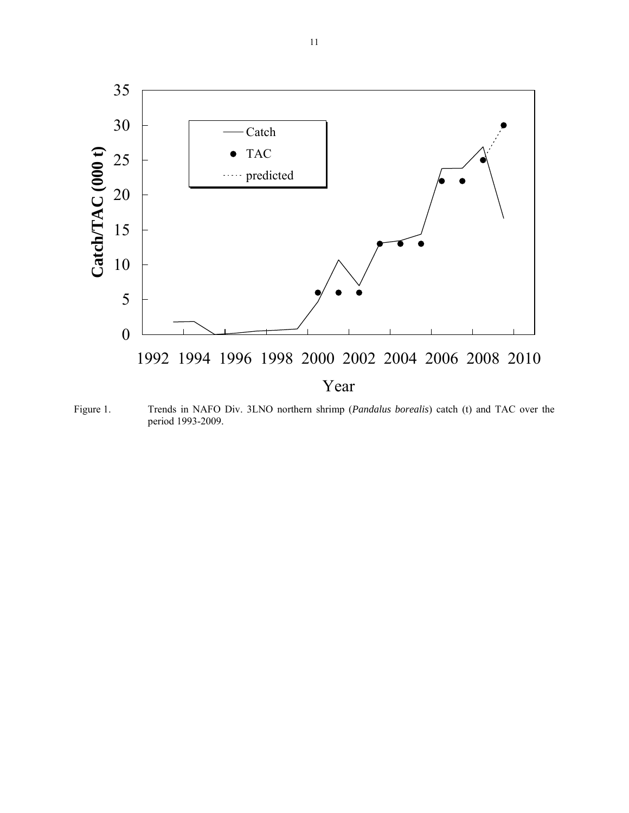

Figure 1. Trends in NAFO Div. 3LNO northern shrimp (*Pandalus borealis*) catch (t) and TAC over the period 1993-2009.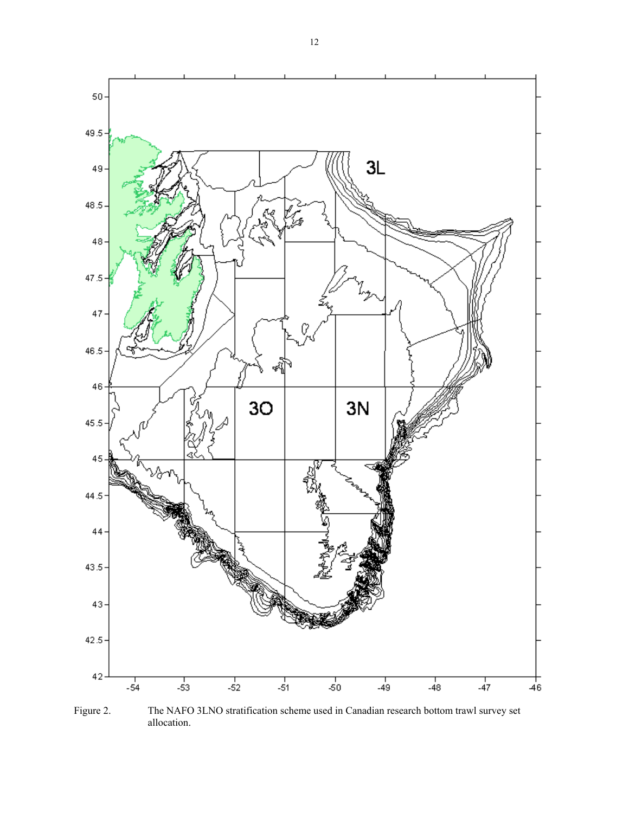

Figure 2. The NAFO 3LNO stratification scheme used in Canadian research bottom trawl survey set allocation.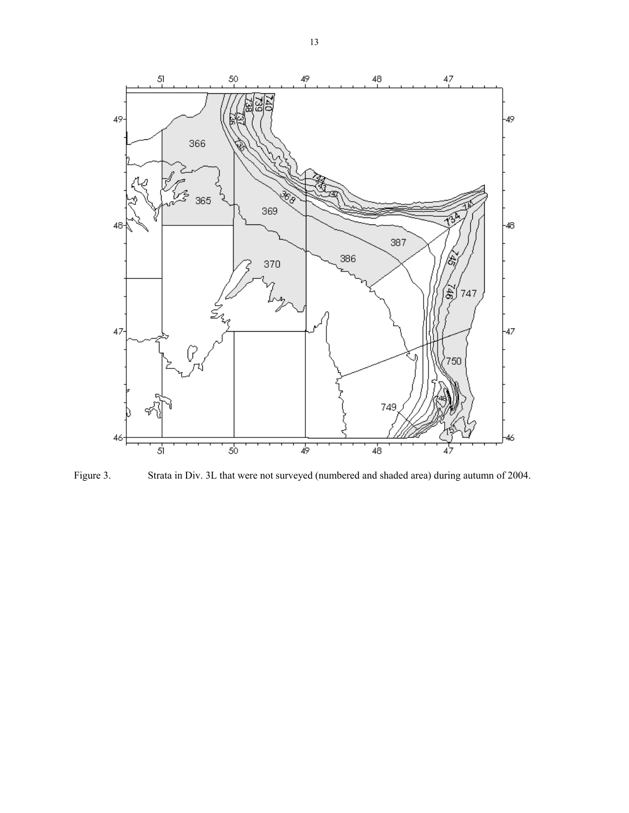

Figure 3. Strata in Div. 3L that were not surveyed (numbered and shaded area) during autumn of 2004.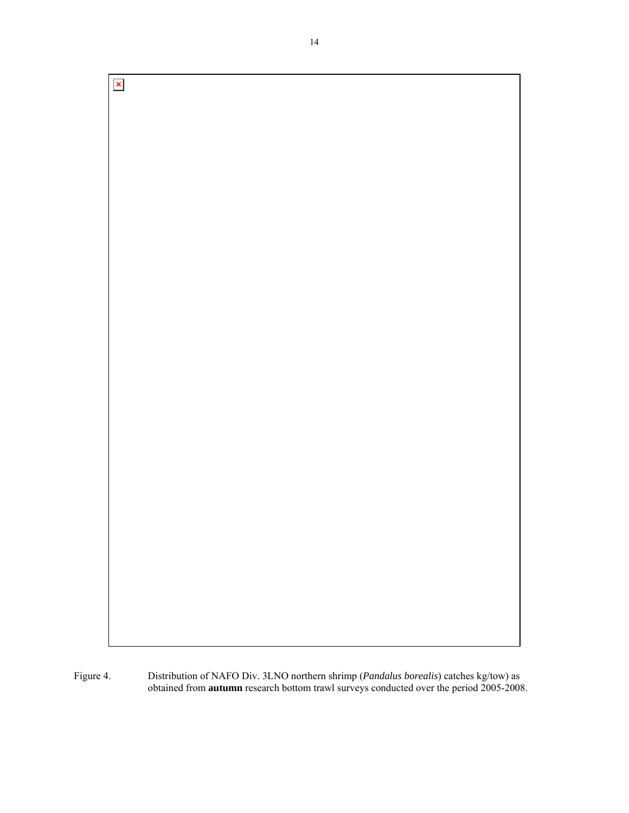$\pmb{\times}$ 

Figure 4. Distribution of NAFO Div. 3LNO northern shrimp (*Pandalus borealis*) catches kg/tow) as obtained from **autumn** research bottom trawl surveys conducted over the period 2005-2008.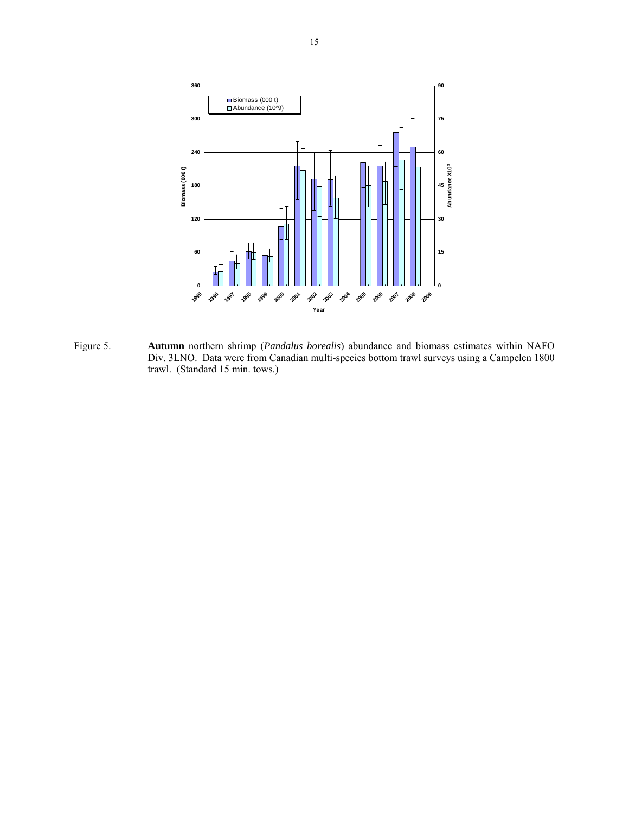

Figure 5. **Autumn** northern shrimp (*Pandalus borealis*) abundance and biomass estimates within NAFO Div. 3LNO. Data were from Canadian multi-species bottom trawl surveys using a Campelen 1800 trawl. (Standard 15 min. tows.)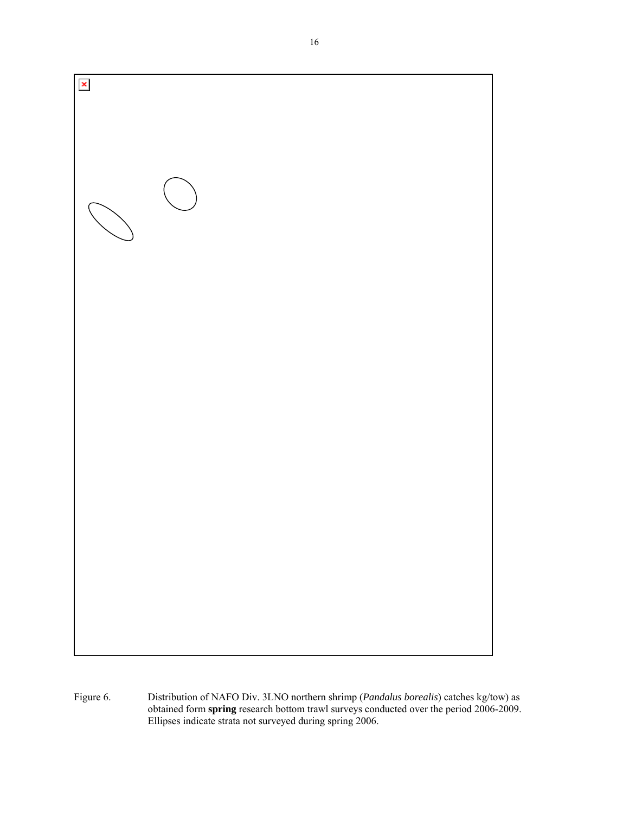

Figure 6. Distribution of NAFO Div. 3LNO northern shrimp (*Pandalus borealis*) catches kg/tow) as obtained form **spring** research bottom trawl surveys conducted over the period 2006-2009. Ellipses indicate strata not surveyed during spring 2006.